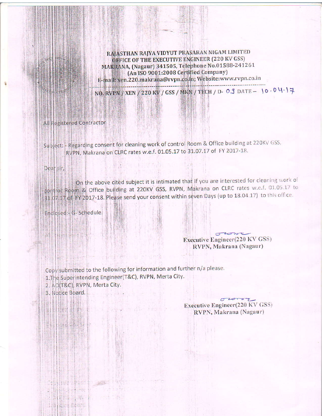RAJASTHAN RAJYA VIDYUT PRASARAN NIGAM LIMITED OFFICE OF THE EXECUTIVE ENGINEER (220 KV GSS) MAKRANA, (Nagaur) 341505, Telephone No.01588-241261 (An ISO 9001:2008 Certified Company) E-mail: xen.220.makrana@rvpn.co.in; Website:www.rvpn.co.in

NO. RVPN / XEN / 220 KV / GSS / MKN / TECH / D- 0 J DATE - 10.04.17

All Registered Contractor

Subject: - Regarding consent for cleaning work of control Room & Office building at 220KV GSS, RVPN, Makrana on CLRC rates w.e.f. 01.05.17 to 31.07.17 of FY 2017-18.

G LISS TANK LO

Dear sir,

On the above cited subject it is intimated that if you are interested for cleaning work of control Room & Office building at 220KV GSS, RVPN, Makrana on CLRC rates w.e.f. 01.05.17 to 31.07.17 of FY 2017-18. Please send your consent within seven Days (up to 18.04.17) to this office.

Enclosed:- G- Schedule.

al Theoreta Co

 $\sigma$  to  $\sigma$ Executive Engineer(220 KV GSS) RVPN, Makrana (Nagaur)

Copy submitted to the following for information and further n/a please. 1. The Superintending Engineer(T&C), RVPN, Merta City. 2. AO(T&C), RVPN, Merta City.

**MARINE CONTROLLOT** 

 $\mathcal{L}_{\mathcal{A}} = -\frac{1}{2} \mathcal{A} \mathcal{A} \mathcal{A}$ 

thing at an in seal in which

Heis a chemical con- $\frac{1}{2}$  (Fig. ),  $\eta_1$  , and  $\eta_2$ 

**Different Report** 

3. Notice Board.

Executive Engineer(220 KV GSS) RVPN, Makrana (Nagaur)

Hisd - B-Be

**SHEET MINE**